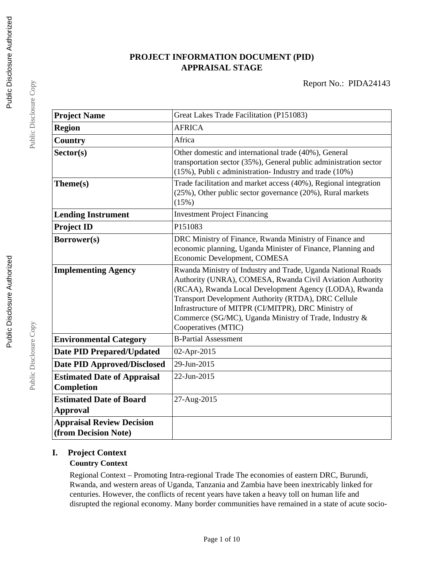## **PROJECT INFORMATION DOCUMENT (PID) APPRAISAL STAGE**

| <b>Project Name</b>                                      | Great Lakes Trade Facilitation (P151083)                                                                                                                                                                                                                                                                                                                                           |
|----------------------------------------------------------|------------------------------------------------------------------------------------------------------------------------------------------------------------------------------------------------------------------------------------------------------------------------------------------------------------------------------------------------------------------------------------|
| <b>Region</b>                                            | <b>AFRICA</b>                                                                                                                                                                                                                                                                                                                                                                      |
| Country                                                  | Africa                                                                                                                                                                                                                                                                                                                                                                             |
| Sector(s)                                                | Other domestic and international trade (40%), General<br>transportation sector (35%), General public administration sector<br>(15%), Publi c administration- Industry and trade (10%)                                                                                                                                                                                              |
| Theme(s)                                                 | Trade facilitation and market access (40%), Regional integration<br>(25%), Other public sector governance (20%), Rural markets<br>(15%)                                                                                                                                                                                                                                            |
| <b>Lending Instrument</b>                                | <b>Investment Project Financing</b>                                                                                                                                                                                                                                                                                                                                                |
| <b>Project ID</b>                                        | P151083                                                                                                                                                                                                                                                                                                                                                                            |
| Borrower(s)                                              | DRC Ministry of Finance, Rwanda Ministry of Finance and<br>economic planning, Uganda Minister of Finance, Planning and<br>Economic Development, COMESA                                                                                                                                                                                                                             |
| <b>Implementing Agency</b>                               | Rwanda Ministry of Industry and Trade, Uganda National Roads<br>Authority (UNRA), COMESA, Rwanda Civil Aviation Authority<br>(RCAA), Rwanda Local Development Agency (LODA), Rwanda<br>Transport Development Authority (RTDA), DRC Cellule<br>Infrastructure of MITPR (CI/MITPR), DRC Ministry of<br>Commerce (SG/MC), Uganda Ministry of Trade, Industry &<br>Cooperatives (MTIC) |
| <b>Environmental Category</b>                            | <b>B-Partial Assessment</b>                                                                                                                                                                                                                                                                                                                                                        |
| <b>Date PID Prepared/Updated</b>                         | 02-Apr-2015                                                                                                                                                                                                                                                                                                                                                                        |
| <b>Date PID Approved/Disclosed</b>                       | 29-Jun-2015                                                                                                                                                                                                                                                                                                                                                                        |
| <b>Estimated Date of Appraisal</b><br>Completion         | 22-Jun-2015                                                                                                                                                                                                                                                                                                                                                                        |
| <b>Estimated Date of Board</b><br><b>Approval</b>        | 27-Aug-2015                                                                                                                                                                                                                                                                                                                                                                        |
| <b>Appraisal Review Decision</b><br>(from Decision Note) |                                                                                                                                                                                                                                                                                                                                                                                    |

## **I. Project Context**

## **Country Context**

Regional Context – Promoting Intra-regional Trade The economies of eastern DRC, Burundi, Rwanda, and western areas of Uganda, Tanzania and Zambia have been inextricably linked for centuries. However, the conflicts of recent years have taken a heavy toll on human life and disrupted the regional economy. Many border communities have remained in a state of acute socio-

Public Disclosure Copy

Public Disclosure Copy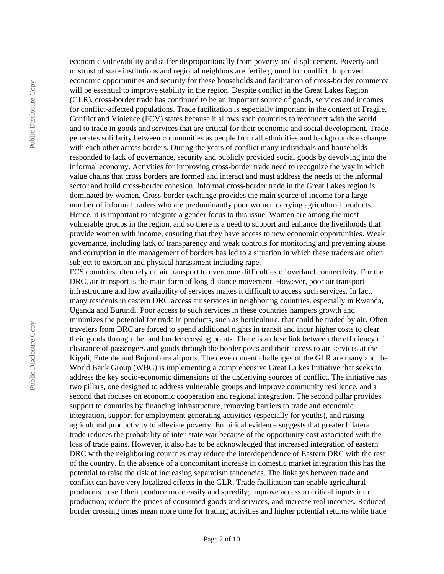Public Disclosure Copy Public Disclosure Copy

mistrust of state institutions and regional neighbors are fertile ground for conflict. Improved economic opportunities and security for these households and facilitation of cross-border commerce will be essential to improve stability in the region. Despite conflict in the Great Lakes Region (GLR), cross-border trade has continued to be an important source of goods, services and incomes for conflict-affected populations. Trade facilitation is especially important in the context of Fragile, Conflict and Violence (FCV) states because it allows such countries to reconnect with the world and to trade in goods and services that are critical for their economic and social development. Trade generates solidarity between communities as people from all ethnicities and backgrounds exchange with each other across borders. During the years of conflict many individuals and households responded to lack of governance, security and publicly provided social goods by devolving into the informal economy. Activities for improving cross-border trade need to recognize the way in which value chains that cross borders are formed and interact and must address the needs of the informal sector and build cross-border cohesion. Informal cross-border trade in the Great Lakes region is dominated by women. Cross-border exchange provides the main source of income for a large number of informal traders who are predominantly poor women carrying agricultural products. Hence, it is important to integrate a gender focus to this issue. Women are among the most vulnerable groups in the region, and so there is a need to support and enhance the livelihoods that provide women with income, ensuring that they have access to new economic opportunities. Weak governance, including lack of transparency and weak controls for monitoring and preventing abuse and corruption in the management of borders has led to a situation in which these traders are often subject to extortion and physical harassment including rape.

economic vulnerability and suffer disproportionally from poverty and displacement. Poverty and

FCS countries often rely on air transport to overcome difficulties of overland connectivity. For the DRC, air transport is the main form of long distance movement. However, poor air transport infrastructure and low availability of services makes it difficult to access such services. In fact, many residents in eastern DRC access air services in neighboring countries, especially in Rwanda, Uganda and Burundi. Poor access to such services in these countries hampers growth and minimizes the potential for trade in products, such as horticulture, that could be traded by air. Often travelers from DRC are forced to spend additional nights in transit and incur higher costs to clear their goods through the land border crossing points. There is a close link between the efficiency of clearance of passengers and goods through the border posts and their access to air services at the Kigali, Entebbe and Bujumbura airports. The development challenges of the GLR are many and the World Bank Group (WBG) is implementing a comprehensive Great La kes Initiative that seeks to address the key socio-economic dimensions of the underlying sources of conflict. The initiative has two pillars, one designed to address vulnerable groups and improve community resilience, and a second that focuses on economic cooperation and regional integration. The second pillar provides support to countries by financing infrastructure, removing barriers to trade and economic integration, support for employment generating activities (especially for youths), and raising agricultural productivity to alleviate poverty. Empirical evidence suggests that greater bilateral trade reduces the probability of inter-state war because of the opportunity cost associated with the loss of trade gains. However, it also has to be acknowledged that increased integration of eastern DRC with the neighboring countries may reduce the interdependence of Eastern DRC with the rest of the country. In the absence of a concomitant increase in domestic market integration this has the potential to raise the risk of increasing separatism tendencies. The linkages between trade and conflict can have very localized effects in the GLR. Trade facilitation can enable agricultural producers to sell their produce more easily and speedily; improve access to critical inputs into production; reduce the prices of consumed goods and services, and increase real incomes. Reduced border crossing times mean more time for trading activities and higher potential returns while trade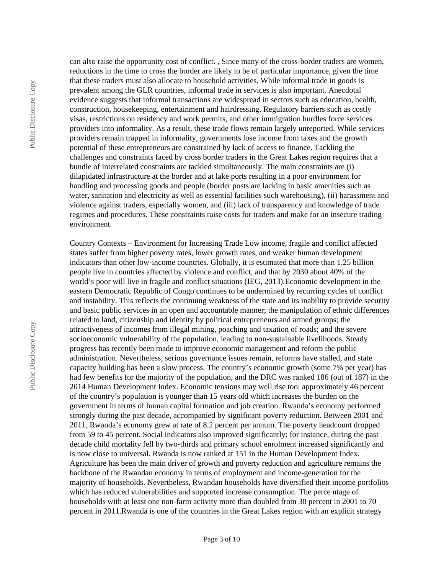Public Disclosure Copy Public Disclosure Copy

can also raise the opportunity cost of conflict. , Since many of the cross-border traders are women, reductions in the time to cross the border are likely to be of particular importance, given the time that these traders must also allocate to household activities. While informal trade in goods is prevalent among the GLR countries, informal trade in services is also important. Anecdotal evidence suggests that informal transactions are widespread in sectors such as education, health, construction, housekeeping, entertainment and hairdressing. Regulatory barriers such as costly visas, restrictions on residency and work permits, and other immigration hurdles force services providers into informality. As a result, these trade flows remain largely unreported. While services providers remain trapped in informality, governments lose income from taxes and the growth potential of these entrepreneurs are constrained by lack of access to finance. Tackling the challenges and constraints faced by cross border traders in the Great Lakes region requires that a bundle of interrelated constraints are tackled simultaneously. The main constraints are (i) dilapidated infrastructure at the border and at lake ports resulting in a poor environment for handling and processing goods and people (border posts are lacking in basic amenities such as water, sanitation and electricity as well as essential facilities such warehousing), (ii) harassment and violence against traders, especially women, and (iii) lack of transparency and knowledge of trade regimes and procedures. These constraints raise costs for traders and make for an insecure trading environment.

Country Contexts – Environment for Increasing Trade Low income, fragile and conflict affected states suffer from higher poverty rates, lower growth rates, and weaker human development indicators than other low-income countries. Globally, it is estimated that more than 1.25 billion people live in countries affected by violence and conflict, and that by 2030 about 40% of the world's poor will live in fragile and conflict situations (IEG, 2013).Economic development in the eastern Democratic Republic of Congo continues to be undermined by recurring cycles of conflict and instability. This reflects the continuing weakness of the state and its inability to provide security and basic public services in an open and accountable manner; the manipulation of ethnic differences related to land, citizenship and identity by political entrepreneurs and armed groups; the attractiveness of incomes from illegal mining, poaching and taxation of roads; and the severe socioeconomic vulnerability of the population, leading to non-sustainable livelihoods. Steady progress has recently been made to improve economic management and reform the public administration. Nevertheless, serious governance issues remain, reforms have stalled, and state capacity building has been a slow process. The country's economic growth (some 7% per year) has had few benefits for the majority of the population, and the DRC was ranked 186 (out of 187) in the 2014 Human Development Index. Economic tensions may well rise too: approximately 46 percent of the country's population is younger than 15 years old which increases the burden on the government in terms of human capital formation and job creation. Rwanda's economy performed strongly during the past decade, accompanied by significant poverty reduction. Between 2001 and 2011, Rwanda's economy grew at rate of 8.2 percent per annum. The poverty headcount dropped from 59 to 45 percent. Social indicators also improved significantly: for instance, during the past decade child mortality fell by two-thirds and primary school enrolment increased significantly and is now close to universal. Rwanda is now ranked at 151 in the Human Development Index. Agriculture has been the main driver of growth and poverty reduction and agriculture remains the backbone of the Rwandan economy in terms of employment and income-generation for the majority of households. Nevertheless, Rwandan households have diversified their income portfolios which has reduced vulnerabilities and supported increase consumption. The perce ntage of households with at least one non-farm activity more than doubled from 30 percent in 2001 to 70 percent in 2011.Rwanda is one of the countries in the Great Lakes region with an explicit strategy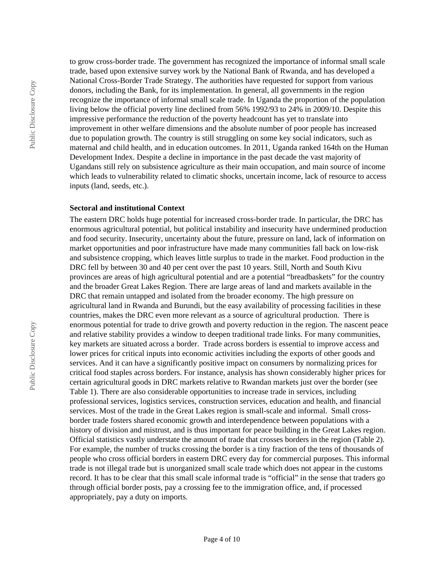to grow cross-border trade. The government has recognized the importance of informal small scale trade, based upon extensive survey work by the National Bank of Rwanda, and has developed a National Cross-Border Trade Strategy. The authorities have requested for support from various donors, including the Bank, for its implementation. In general, all governments in the region recognize the importance of informal small scale trade. In Uganda the proportion of the population living below the official poverty line declined from 56% 1992/93 to 24% in 2009/10. Despite this impressive performance the reduction of the poverty headcount has yet to translate into improvement in other welfare dimensions and the absolute number of poor people has increased due to population growth. The country is still struggling on some key social indicators, such as maternal and child health, and in education outcomes. In 2011, Uganda ranked 164th on the Human Development Index. Despite a decline in importance in the past decade the vast majority of Ugandans still rely on subsistence agriculture as their main occupation, and main source of income which leads to vulnerability related to climatic shocks, uncertain income, lack of resource to access inputs (land, seeds, etc.).

#### **Sectoral and institutional Context**

The eastern DRC holds huge potential for increased cross-border trade. In particular, the DRC has enormous agricultural potential, but political instability and insecurity have undermined production and food security. Insecurity, uncertainty about the future, pressure on land, lack of information on market opportunities and poor infrastructure have made many communities fall back on low-risk and subsistence cropping, which leaves little surplus to trade in the market. Food production in the DRC fell by between 30 and 40 per cent over the past 10 years. Still, North and South Kivu provinces are areas of high agricultural potential and are a potential "breadbaskets" for the country and the broader Great Lakes Region. There are large areas of land and markets available in the DRC that remain untapped and isolated from the broader economy. The high pressure on agricultural land in Rwanda and Burundi, but the easy availability of processing facilities in these countries, makes the DRC even more relevant as a source of agricultural production. There is enormous potential for trade to drive growth and poverty reduction in the region. The nascent peace and relative stability provides a window to deepen traditional trade links. For many communities, key markets are situated across a border. Trade across borders is essential to improve access and lower prices for critical inputs into economic activities including the exports of other goods and services. And it can have a significantly positive impact on consumers by normalizing prices for critical food staples across borders. For instance, analysis has shown considerably higher prices for certain agricultural goods in DRC markets relative to Rwandan markets just over the border (see Table 1). There are also considerable opportunities to increase trade in services, including professional services, logistics services, construction services, education and health, and financial services. Most of the trade in the Great Lakes region is small-scale and informal. Small crossborder trade fosters shared economic growth and interdependence between populations with a history of division and mistrust, and is thus important for peace building in the Great Lakes region. Official statistics vastly understate the amount of trade that crosses borders in the region (Table 2). For example, the number of trucks crossing the border is a tiny fraction of the tens of thousands of people who cross official borders in eastern DRC every day for commercial purposes. This informal trade is not illegal trade but is unorganized small scale trade which does not appear in the customs record. It has to be clear that this small scale informal trade is "official" in the sense that traders go through official border posts, pay a crossing fee to the immigration office, and, if processed appropriately, pay a duty on imports.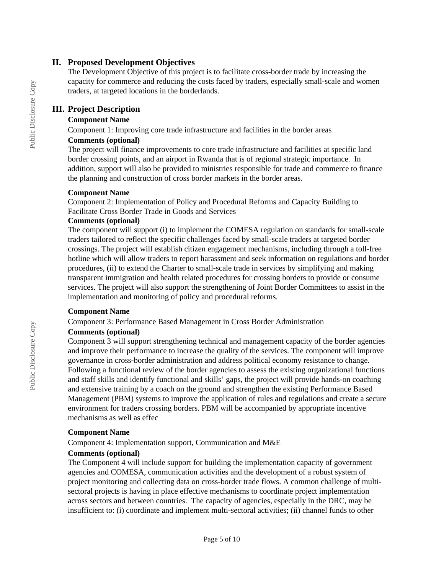### **II. Proposed Development Objectives**

The Development Objective of this project is to facilitate cross-border trade by increasing the capacity for commerce and reducing the costs faced by traders, especially small-scale and women traders, at targeted locations in the borderlands.

### **III. Project Description**

#### **Component Name**

Component 1: Improving core trade infrastructure and facilities in the border areas

#### **Comments (optional)**

The project will finance improvements to core trade infrastructure and facilities at specific land border crossing points, and an airport in Rwanda that is of regional strategic importance. In addition, support will also be provided to ministries responsible for trade and commerce to finance the planning and construction of cross border markets in the border areas.

#### **Component Name**

Component 2: Implementation of Policy and Procedural Reforms and Capacity Building to Facilitate Cross Border Trade in Goods and Services

#### **Comments (optional)**

The component will support (i) to implement the COMESA regulation on standards for small-scale traders tailored to reflect the specific challenges faced by small-scale traders at targeted border crossings. The project will establish citizen engagement mechanisms, including through a toll-free hotline which will allow traders to report harassment and seek information on regulations and border procedures, (ii) to extend the Charter to small-scale trade in services by simplifying and making transparent immigration and health related procedures for crossing borders to provide or consume services. The project will also support the strengthening of Joint Border Committees to assist in the implementation and monitoring of policy and procedural reforms.

#### **Component Name**

Component 3: Performance Based Management in Cross Border Administration

#### **Comments (optional)**

Component 3 will support strengthening technical and management capacity of the border agencies and improve their performance to increase the quality of the services. The component will improve governance in cross-border administration and address political economy resistance to change. Following a functional review of the border agencies to assess the existing organizational functions and staff skills and identify functional and skills' gaps, the project will provide hands-on coaching and extensive training by a coach on the ground and strengthen the existing Performance Based Management (PBM) systems to improve the application of rules and regulations and create a secure environment for traders crossing borders. PBM will be accompanied by appropriate incentive mechanisms as well as effec

#### **Component Name**

Component 4: Implementation support, Communication and M&E

#### **Comments (optional)**

The Component 4 will include support for building the implementation capacity of government agencies and COMESA, communication activities and the development of a robust system of project monitoring and collecting data on cross-border trade flows. A common challenge of multisectoral projects is having in place effective mechanisms to coordinate project implementation across sectors and between countries. The capacity of agencies, especially in the DRC, may be insufficient to: (i) coordinate and implement multi-sectoral activities; (ii) channel funds to other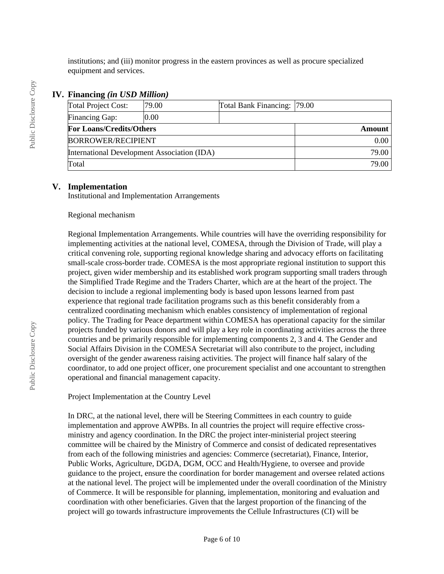institutions; and (iii) monitor progress in the eastern provinces as well as procure specialized equipment and services.

### **IV. Financing** *(in USD Million)*

| <b>Total Project Cost:</b>                  | 79.00 |               | Total Bank Financing: [79.00] |  |
|---------------------------------------------|-------|---------------|-------------------------------|--|
| Financing Gap:                              | 0.00  |               |                               |  |
| <b>For Loans/Credits/Others</b>             |       | <b>Amount</b> |                               |  |
| <b>BORROWER/RECIPIENT</b>                   |       |               | 0.00                          |  |
| International Development Association (IDA) |       |               | 79.00                         |  |
| Total                                       |       |               | 79.00                         |  |

#### **V. Implementation**

Institutional and Implementation Arrangements

#### Regional mechanism

Regional Implementation Arrangements. While countries will have the overriding responsibility for implementing activities at the national level, COMESA, through the Division of Trade, will play a critical convening role, supporting regional knowledge sharing and advocacy efforts on facilitating small-scale cross-border trade. COMESA is the most appropriate regional institution to support this project, given wider membership and its established work program supporting small traders through the Simplified Trade Regime and the Traders Charter, which are at the heart of the project. The decision to include a regional implementing body is based upon lessons learned from past experience that regional trade facilitation programs such as this benefit considerably from a centralized coordinating mechanism which enables consistency of implementation of regional policy. The Trading for Peace department within COMESA has operational capacity for the similar projects funded by various donors and will play a key role in coordinating activities across the three countries and be primarily responsible for implementing components 2, 3 and 4. The Gender and Social Affairs Division in the COMESA Secretariat will also contribute to the project, including oversight of the gender awareness raising activities. The project will finance half salary of the coordinator, to add one project officer, one procurement specialist and one accountant to strengthen operational and financial management capacity.

Project Implementation at the Country Level

In DRC, at the national level, there will be Steering Committees in each country to guide implementation and approve AWPBs. In all countries the project will require effective crossministry and agency coordination. In the DRC the project inter-ministerial project steering committee will be chaired by the Ministry of Commerce and consist of dedicated representatives from each of the following ministries and agencies: Commerce (secretariat), Finance, Interior, Public Works, Agriculture, DGDA, DGM, OCC and Health/Hygiene, to oversee and provide guidance to the project, ensure the coordination for border management and oversee related actions at the national level. The project will be implemented under the overall coordination of the Ministry of Commerce. It will be responsible for planning, implementation, monitoring and evaluation and coordination with other beneficiaries. Given that the largest proportion of the financing of the project will go towards infrastructure improvements the Cellule Infrastructures (CI) will be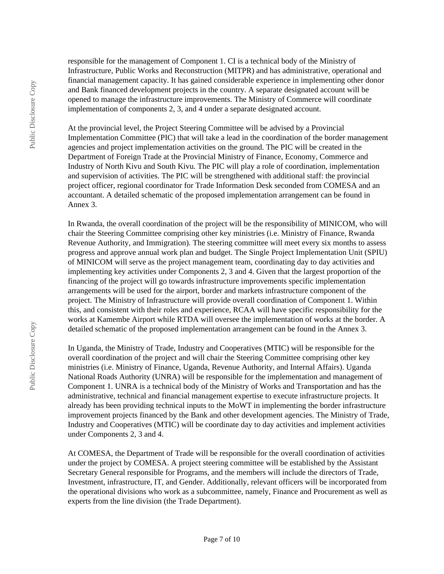responsible for the management of Component 1. CI is a technical body of the Ministry of Infrastructure, Public Works and Reconstruction (MITPR) and has administrative, operational and financial management capacity. It has gained considerable experience in implementing other donor and Bank financed development projects in the country. A separate designated account will be opened to manage the infrastructure improvements. The Ministry of Commerce will coordinate implementation of components 2, 3, and 4 under a separate designated account.

At the provincial level, the Project Steering Committee will be advised by a Provincial Implementation Committee (PIC) that will take a lead in the coordination of the border management agencies and project implementation activities on the ground. The PIC will be created in the Department of Foreign Trade at the Provincial Ministry of Finance, Economy, Commerce and Industry of North Kivu and South Kivu. The PIC will play a role of coordination, implementation and supervision of activities. The PIC will be strengthened with additional staff: the provincial project officer, regional coordinator for Trade Information Desk seconded from COMESA and an accountant. A detailed schematic of the proposed implementation arrangement can be found in Annex 3.

In Rwanda, the overall coordination of the project will be the responsibility of MINICOM, who will chair the Steering Committee comprising other key ministries (i.e. Ministry of Finance, Rwanda Revenue Authority, and Immigration). The steering committee will meet every six months to assess progress and approve annual work plan and budget. The Single Project Implementation Unit (SPIU) of MINICOM will serve as the project management team, coordinating day to day activities and implementing key activities under Components 2, 3 and 4. Given that the largest proportion of the financing of the project will go towards infrastructure improvements specific implementation arrangements will be used for the airport, border and markets infrastructure component of the project. The Ministry of Infrastructure will provide overall coordination of Component 1. Within this, and consistent with their roles and experience, RCAA will have specific responsibility for the works at Kamembe Airport while RTDA will oversee the implementation of works at the border. A detailed schematic of the proposed implementation arrangement can be found in the Annex 3.

In Uganda, the Ministry of Trade, Industry and Cooperatives (MTIC) will be responsible for the overall coordination of the project and will chair the Steering Committee comprising other key ministries (i.e. Ministry of Finance, Uganda, Revenue Authority, and Internal Affairs). Uganda National Roads Authority (UNRA) will be responsible for the implementation and management of Component 1. UNRA is a technical body of the Ministry of Works and Transportation and has the administrative, technical and financial management expertise to execute infrastructure projects. It already has been providing technical inputs to the MoWT in implementing the border infrastructure improvement projects financed by the Bank and other development agencies. The Ministry of Trade, Industry and Cooperatives (MTIC) will be coordinate day to day activities and implement activities under Components 2, 3 and 4.

At COMESA, the Department of Trade will be responsible for the overall coordination of activities under the project by COMESA. A project steering committee will be established by the Assistant Secretary General responsible for Programs, and the members will include the directors of Trade, Investment, infrastructure, IT, and Gender. Additionally, relevant officers will be incorporated from the operational divisions who work as a subcommittee, namely, Finance and Procurement as well as experts from the line division (the Trade Department).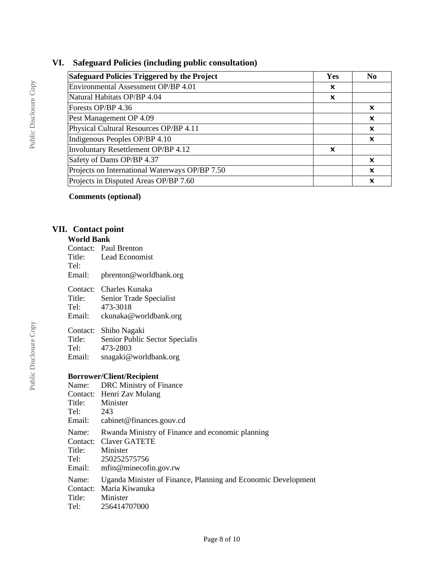## **VI. Safeguard Policies (including public consultation)**

| <b>Safeguard Policies Triggered by the Project</b> | Yes | N0 |
|----------------------------------------------------|-----|----|
| Environmental Assessment OP/BP 4.01                | x   |    |
| Natural Habitats OP/BP 4.04                        | X   |    |
| Forests OP/BP 4.36                                 |     | X  |
| Pest Management OP 4.09                            |     | X  |
| Physical Cultural Resources OP/BP 4.11             |     | x  |
| Indigenous Peoples OP/BP 4.10                      |     | x  |
| Involuntary Resettlement OP/BP 4.12                | x   |    |
| Safety of Dams OP/BP 4.37                          |     | x  |
| Projects on International Waterways OP/BP 7.50     |     | x  |
| Projects in Disputed Areas OP/BP 7.60              |     | x  |

**Comments (optional)**

## **VII. Contact point**

### **World Bank**

| Tel:<br>Email:                                          | Contact: Paul Brenton<br>Title: Lead Economist<br>pbrenton@worldbank.org                                                                                                                                        |
|---------------------------------------------------------|-----------------------------------------------------------------------------------------------------------------------------------------------------------------------------------------------------------------|
|                                                         | Contact: Charles Kunaka<br>Title: Senior Trade Specialist<br>Tel: 473-3018<br>Email: ckunaka@worldbank.org                                                                                                      |
| Title:<br>Email:                                        | Contact: Shiho Nagaki<br>Senior Public Sector Specialis<br>Tel: 473-2803<br>snagaki@worldbank.org                                                                                                               |
| Title: Minister<br>Tel: 243<br>Name:<br>Title: Minister | <b>Borrower/Client/Recipient</b><br>Name: DRC Ministry of Finance<br>Contact: Henri Zav Mulang<br>Email: cabinet@finances.gouv.cd<br>Rwanda Ministry of Finance and economic planning<br>Contact: Claver GATETE |
| Email:                                                  | Tel: 250252575756<br>mfin@minecofin.gov.rw                                                                                                                                                                      |
| Name:<br>Title: Minister<br>Tel:                        | Uganda Minister of Finance, Planning and Economic Development<br>Contact: Maria Kiwanuka<br>256414707000                                                                                                        |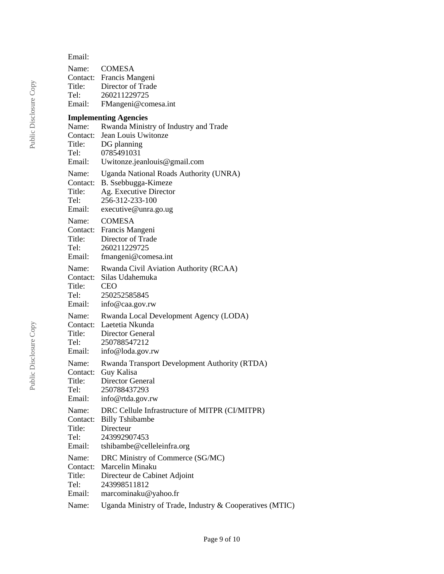| Email:                                |                                                                                                       |
|---------------------------------------|-------------------------------------------------------------------------------------------------------|
| Name:<br>Title:<br>Tel:<br>Email:     | <b>COMESA</b><br>Contact: Francis Mangeni<br>Director of Trade<br>260211229725<br>FMangeni@comesa.int |
|                                       | <b>Implementing Agencies</b>                                                                          |
| Name:                                 | Rwanda Ministry of Industry and Trade                                                                 |
| Contact:                              | Jean Louis Uwitonze                                                                                   |
| Title:                                | DG planning                                                                                           |
| Tel:                                  | 0785491031                                                                                            |
| Email:                                | Uwitonze.jeanlouis@gmail.com                                                                          |
| Name:                                 | Uganda National Roads Authority (UNRA)                                                                |
| Contact:                              | B. Ssebbugga-Kimeze                                                                                   |
| Title:                                | Ag. Executive Director                                                                                |
| Tel:                                  | 256-312-233-100                                                                                       |
| Email:                                | executive@unra.go.ug                                                                                  |
| Name:                                 | <b>COMESA</b>                                                                                         |
| Contact:                              | Francis Mangeni                                                                                       |
| Title:                                | Director of Trade                                                                                     |
| Tel:                                  | 260211229725                                                                                          |
| Email:                                | fmangeni@comesa.int                                                                                   |
| Name:                                 | Rwanda Civil Aviation Authority (RCAA)                                                                |
| Contact:                              | Silas Udahemuka                                                                                       |
| Title:                                | <b>CEO</b>                                                                                            |
| Tel:                                  | 250252585845                                                                                          |
| Email:                                | info@caa.gov.rw                                                                                       |
| Name:                                 | Rwanda Local Development Agency (LODA)                                                                |
| Contact:                              | Laetetia Nkunda                                                                                       |
| Title:                                | Director General                                                                                      |
| Tel: Telesting the Telesting Services | 250788547212                                                                                          |
| Email:                                | info@loda.gov.rw                                                                                      |
| Name:                                 | <b>Rwanda Transport Development Authority (RTDA)</b>                                                  |
| Contact:                              | Guy Kalisa                                                                                            |
| Title:                                | Director General                                                                                      |
| Tel:                                  | 250788437293                                                                                          |
| Email:                                | info@rtda.gov.rw                                                                                      |
| Name:                                 | DRC Cellule Infrastructure of MITPR (CI/MITPR)                                                        |
| Contact:                              | <b>Billy Tshibambe</b>                                                                                |
| Title:                                | Directeur                                                                                             |
| Tel:                                  | 243992907453                                                                                          |
| Email:                                | tshibambe@celleleinfra.org                                                                            |
| Name:                                 | DRC Ministry of Commerce (SG/MC)                                                                      |
| Contact:                              | Marcelin Minaku                                                                                       |
| Title:                                | Directeur de Cabinet Adjoint                                                                          |
| Tel:                                  | 243998511812                                                                                          |
| Email:                                | marcominaku@yahoo.fr                                                                                  |
| Name:                                 | Uganda Ministry of Trade, Industry & Cooperatives (MTIC)                                              |